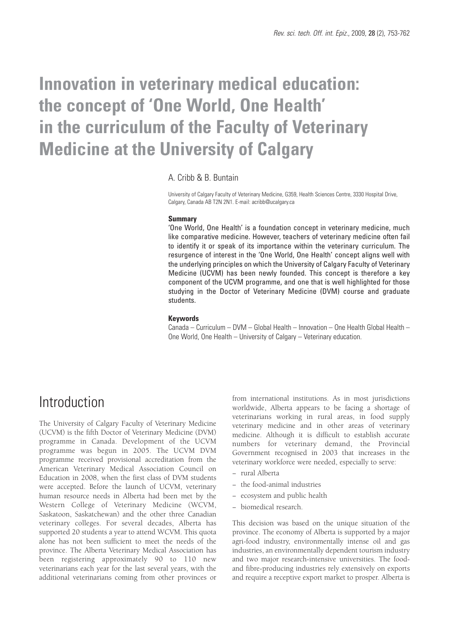# **Innovation in veterinary medical education: the concept of 'One World, One Health' in the curriculum of the Faculty of Veterinary Medicine at the University of Calgary**

### A. Cribb & B. Buntain

University of Calgary Faculty of Veterinary Medicine, G359, Health Sciences Centre, 3330 Hospital Drive, Calgary, Canada AB T2N 2N1. E-mail: acribb@ucalgary.ca

#### **Summary**

'One World, One Health' is a foundation concept in veterinary medicine, much like comparative medicine. However, teachers of veterinary medicine often fail to identify it or speak of its importance within the veterinary curriculum. The resurgence of interest in the 'One World, One Health' concept aligns well with the underlying principles on which the University of Calgary Faculty of Veterinary Medicine (UCVM) has been newly founded. This concept is therefore a key component of the UCVM programme, and one that is well highlighted for those studying in the Doctor of Veterinary Medicine (DVM) course and graduate students.

### **Keywords**

Canada – Curriculum – DVM – Global Health – Innovation – One Health Global Health – One World, One Health – University of Calgary – Veterinary education.

### **Introduction**

The University of Calgary Faculty of Veterinary Medicine (UCVM) is the fifth Doctor of Veterinary Medicine (DVM) programme in Canada. Development of the UCVM programme was begun in 2005. The UCVM DVM programme received provisional accreditation from the American Veterinary Medical Association Council on Education in 2008, when the first class of DVM students were accepted. Before the launch of UCVM, veterinary human resource needs in Alberta had been met by the Western College of Veterinary Medicine (WCVM, Saskatoon, Saskatchewan) and the other three Canadian veterinary colleges. For several decades, Alberta has supported 20 students a year to attend WCVM. This quota alone has not been sufficient to meet the needs of the province. The Alberta Veterinary Medical Association has been registering approximately 90 to 110 new veterinarians each year for the last several years, with the additional veterinarians coming from other provinces or

from international institutions. As in most jurisdictions worldwide, Alberta appears to be facing a shortage of veterinarians working in rural areas, in food supply veterinary medicine and in other areas of veterinary medicine. Although it is difficult to establish accurate numbers for veterinary demand, the Provincial Government recognised in 2003 that increases in the veterinary workforce were needed, especially to serve:

- − rural Alberta
- − the food-animal industries
- − ecosystem and public health
- − biomedical research.

This decision was based on the unique situation of the province. The economy of Alberta is supported by a major agri-food industry, environmentally intense oil and gas industries, an environmentally dependent tourism industry and two major research-intensive universities. The foodand fibre-producing industries rely extensively on exports and require a receptive export market to prosper. Alberta is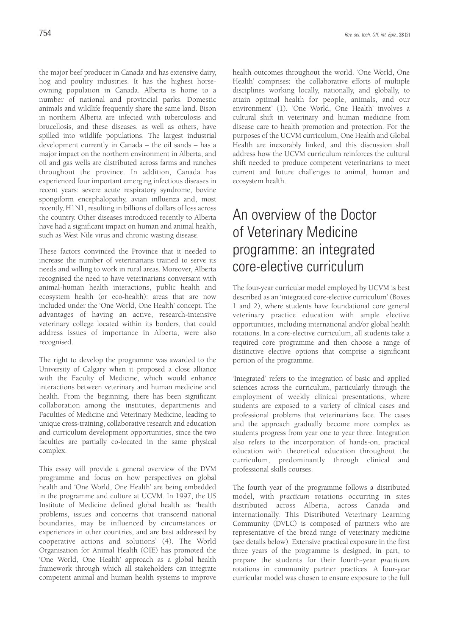the major beef producer in Canada and has extensive dairy, hog and poultry industries. It has the highest horseowning population in Canada. Alberta is home to a number of national and provincial parks. Domestic animals and wildlife frequently share the same land. Bison in northern Alberta are infected with tuberculosis and brucellosis, and these diseases, as well as others, have spilled into wildlife populations. The largest industrial development currently in Canada – the oil sands – has a major impact on the northern environment in Alberta, and oil and gas wells are distributed across farms and ranches throughout the province. In addition, Canada has experienced four important emerging infectious diseases in recent years: severe acute respiratory syndrome, bovine spongiform encephalopathy, avian influenza and, most recently, H1N1, resulting in billions of dollars of loss across the country. Other diseases introduced recently to Alberta have had a significant impact on human and animal health, such as West Nile virus and chronic wasting disease.

These factors convinced the Province that it needed to increase the number of veterinarians trained to serve its needs and willing to work in rural areas. Moreover, Alberta recognised the need to have veterinarians conversant with animal-human health interactions, public health and ecosystem health (or eco-health): areas that are now included under the 'One World, One Health' concept. The advantages of having an active, research-intensive veterinary college located within its borders, that could address issues of importance in Alberta, were also recognised.

The right to develop the programme was awarded to the University of Calgary when it proposed a close alliance with the Faculty of Medicine, which would enhance interactions between veterinary and human medicine and health. From the beginning, there has been significant collaboration among the institutes, departments and Faculties of Medicine and Veterinary Medicine, leading to unique cross-training, collaborative research and education and curriculum development opportunities, since the two faculties are partially co-located in the same physical complex.

This essay will provide a general overview of the DVM programme and focus on how perspectives on global health and 'One World, One Health' are being embedded in the programme and culture at UCVM. In 1997, the US Institute of Medicine defined global health as: 'health problems, issues and concerns that transcend national boundaries, may be influenced by circumstances or experiences in other countries, and are best addressed by cooperative actions and solutions' (4). The World Organisation for Animal Health (OIE) has promoted the 'One World, One Health' approach as a global health framework through which all stakeholders can integrate competent animal and human health systems to improve

Health' comprises: 'the collaborative efforts of multiple disciplines working locally, nationally, and globally, to attain optimal health for people, animals, and our environment' (1). 'One World, One Health' involves a cultural shift in veterinary and human medicine from disease care to health promotion and protection. For the purposes of the UCVM curriculum, One Health and Global Health are inexorably linked, and this discussion shall address how the UCVM curriculum reinforces the cultural shift needed to produce competent veterinarians to meet current and future challenges to animal, human and ecosystem health.

## An overview of the Doctor of Veterinary Medicine programme: an integrated core-elective curriculum

The four-year curricular model employed by UCVM is best described as an 'integrated core-elective curriculum' (Boxes 1 and 2), where students have foundational core general veterinary practice education with ample elective opportunities, including international and/or global health rotations. In a core-elective curriculum, all students take a required core programme and then choose a range of distinctive elective options that comprise a significant portion of the programme.

'Integrated' refers to the integration of basic and applied sciences across the curriculum, particularly through the employment of weekly clinical presentations, where students are exposed to a variety of clinical cases and professional problems that veterinarians face. The cases and the approach gradually become more complex as students progress from year one to year three. Integration also refers to the incorporation of hands-on, practical education with theoretical education throughout the curriculum, predominantly through clinical and professional skills courses.

The fourth year of the programme follows a distributed model, with *practicum* rotations occurring in sites distributed across Alberta, across Canada and internationally. This Distributed Veterinary Learning Community (DVLC) is composed of partners who are representative of the broad range of veterinary medicine (see details below). Extensive practical exposure in the first three years of the programme is designed, in part, to prepare the students for their fourth-year *practicum* rotations in community partner practices. A four-year curricular model was chosen to ensure exposure to the full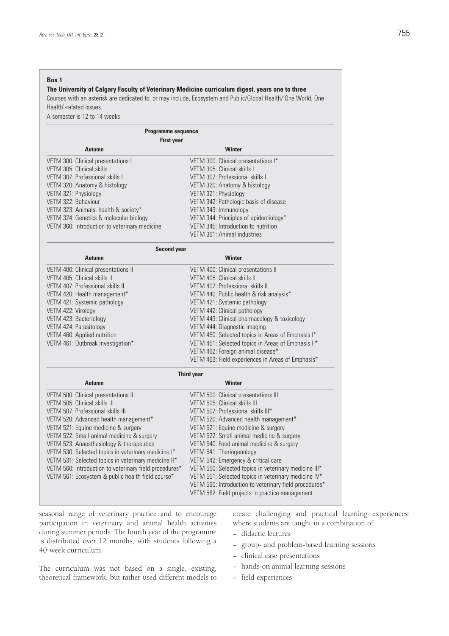### **Box 1**

### **The University of Calgary Faculty of Veterinary Medicine curriculum digest, years one to three**

Courses with an asterisk are dedicated to, or may include, Ecosystem and Public/Global Health/'One World, One Health'-related issues.

A semester is 12 to 14 weeks

| <b>Programme sequence</b>                     |                                       |  |  |
|-----------------------------------------------|---------------------------------------|--|--|
| <b>First year</b>                             |                                       |  |  |
| <b>Autumn</b>                                 | Winter                                |  |  |
| VETM 300: Clinical presentations I            | VETM 300: Clinical presentations I*   |  |  |
| VETM 305: Clinical skills I                   | VETM 305: Clinical skills I           |  |  |
| VETM 307: Professional skills I               | VETM 307: Professional skills I       |  |  |
| VETM 320: Anatomy & histology                 | VETM 320: Anatomy & histology         |  |  |
| VETM 321: Physiology                          | VETM 321: Physiology                  |  |  |
| VETM 322: Behaviour                           | VETM 342: Pathologic basis of disease |  |  |
| VETM 323: Animals, health & society*          | VETM 343: Immunology                  |  |  |
| VETM 324: Genetics & molecular biology        | VETM 344: Principles of epidemiology* |  |  |
| VETM 360: Introduction to veterinary medicine | VETM 345: Introduction to nutrition   |  |  |
|                                               | VETM 361: Animal industries           |  |  |
| Second vear                                   |                                       |  |  |

| ovoona your                           |                                                    |
|---------------------------------------|----------------------------------------------------|
| <b>Autumn</b>                         | Winter                                             |
| VETM 400: Clinical presentations II   | VETM 400: Clinical presentations II                |
| VETM 405: Clinical skills II          | VETM 405: Clinical skills II                       |
| VETM 407: Professional skills II      | VETM 407: Professional skills II                   |
| VETM 420: Health management*          | VETM 440: Public health & risk analysis*           |
| VETM 421: Systemic pathology          | VETM 421: Systemic pathology                       |
| VETM 422: Virology                    | VETM 442: Clinical pathology                       |
| VETM 423: Bacteriology                | VETM 443: Clinical pharmacology & toxicology       |
| VETM 424: Parasitology                | VETM 444: Diagnostic imaging                       |
| VETM 460: Applied nutrition           | VETM 450: Selected topics in Areas of Emphasis I*  |
| VETM 461: Outbreak investigation*     | VETM 451: Selected topics in Areas of Emphasis II* |
|                                       | VETM 462: Foreign animal disease*                  |
|                                       | VETM 463: Field experiences in Areas of Emphasis*  |
|                                       | <b>Third year</b>                                  |
| <b>Autumn</b>                         | Winter                                             |
| VETM 500: Clinical presentations III  | VETM 500: Clinical presentations III               |
| VETM 505: Clinical skills III         | VETM 505: Clinical skills III                      |
| VETM 507: Professional skills III     | VETM 507: Professional skills III*                 |
| VETM 520. Advanced boalth management* | VETM 520. Advanced boalth managament*              |

| VETM 500: Clinical presentations III                   | VETM 500: Clinical presentations III                   |
|--------------------------------------------------------|--------------------------------------------------------|
| VETM 505: Clinical skills III                          | VETM 505: Clinical skills III                          |
| VETM 507: Professional skills III                      | VETM 507: Professional skills III*                     |
| VETM 520: Advanced health management*                  | VETM 520: Advanced health management*                  |
| VETM 521: Equine medicine & surgery                    | VETM 521: Equine medicine & surgery                    |
| VETM 522: Small animal medicine & surgery              | VETM 522: Small animal medicine & surgery              |
| VETM 523: Anaesthesiology & therapeutics               | VETM 540: Food animal medicine & surgery               |
| VETM 530: Selected topics in veterinary medicine I*    | VETM 541: Theriogenology                               |
| VETM 531: Selected topics in veterinary medicine II*   | VETM 542: Emergency & critical care                    |
| VETM 560: Introduction to veterinary field procedures* | VETM 550: Selected topics in veterinary medicine III*  |
| VETM 561: Ecosystem & public health field course*      | VETM 551: Selected topics in veterinary medicine IV*   |
|                                                        | VETM 560: Introduction to veterinary field procedures* |
|                                                        | VETM 562: Field projects in practice management        |
|                                                        |                                                        |

seasonal range of veterinary practice and to encourage participation in veterinary and animal health activities during summer periods. The fourth year of the programme is distributed over 12 months, with students following a 40-week curriculum.

create challenging and practical learning experiences; where students are taught in a combination of:

- − didactic lectures
- − group- and problem-based learning sessions
- − clinical case presentations
- − hands-on animal learning sessions
- − field experiences

The curriculum was not based on a single, existing, theoretical framework, but rather used different models to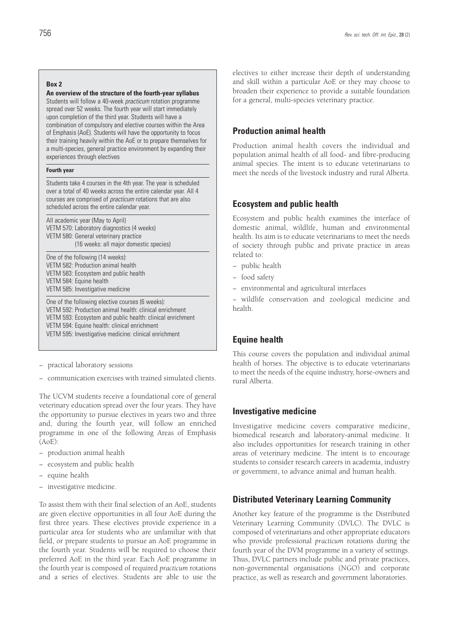### **Box 2**

**An overview of the structure of the fourth-year syllabus**

Students will follow a 40-week *practicum* rotation programme spread over 52 weeks. The fourth year will start immediately upon completion of the third year. Students will have a combination of compulsory and elective courses within the Area of Emphasis (AoE). Students will have the opportunity to focus their training heavily within the AoE or to prepare themselves for a multi-species, general practice environment by expanding their experiences through electives

#### **Fourth year**

Students take 4 courses in the 4th year. The year is scheduled over a total of 40 weeks across the entire calendar year. All 4 courses are comprised of *practicum* rotations that are also scheduled across the entire calendar year.

All academic year (May to April) VETM 570: Laboratory diagnostics (4 weeks) VETM 580: General veterinary practice (16 weeks: all major domestic species)

One of the following (14 weeks): VETM 582: Production animal health VETM 583: Ecosystem and public health VETM 584: Equine health VETM 585: Investigative medicine

One of the following elective courses (6 weeks): VETM 592: Production animal health: clinical enrichment VETM 593: Ecosystem and public health: clinical enrichment VETM 594: Equine health: clinical enrichment VETM 595: Investigative medicine: clinical enrichment

− practical laboratory sessions

− communication exercises with trained simulated clients.

The UCVM students receive a foundational core of general veterinary education spread over the four years. They have the opportunity to pursue electives in years two and three and, during the fourth year, will follow an enriched programme in one of the following Areas of Emphasis (AoE):

- − production animal health
- − ecosystem and public health
- − equine health
- − investigative medicine.

To assist them with their final selection of an AoE, students are given elective opportunities in all four AoE during the first three years. These electives provide experience in a particular area for students who are unfamiliar with that field, or prepare students to pursue an AoE programme in the fourth year. Students will be required to choose their preferred AoE in the third year. Each AoE programme in the fourth year is composed of required *practicum* rotations and a series of electives. Students are able to use the electives to either increase their depth of understanding and skill within a particular AoE or they may choose to broaden their experience to provide a suitable foundation for a general, multi-species veterinary practice.

### **Production animal health**

Production animal health covers the individual and population animal health of all food- and fibre-producing animal species. The intent is to educate veterinarians to meet the needs of the livestock industry and rural Alberta.

### **Ecosystem and public health**

Ecosystem and public health examines the interface of domestic animal, wildlife, human and environmental health. Its aim is to educate veterinarians to meet the needs of society through public and private practice in areas related to:

- − public health
- − food safety
- − environmental and agricultural interfaces

− wildlife conservation and zoological medicine and health.

### **Equine health**

This course covers the population and individual animal health of horses. The objective is to educate veterinarians to meet the needs of the equine industry, horse-owners and rural Alberta.

### **Investigative medicine**

Investigative medicine covers comparative medicine, biomedical research and laboratory-animal medicine. It also includes opportunities for research training in other areas of veterinary medicine. The intent is to encourage students to consider research careers in academia, industry or government, to advance animal and human health.

### **Distributed Veterinary Learning Community**

Another key feature of the programme is the Distributed Veterinary Learning Community (DVLC). The DVLC is composed of veterinarians and other appropriate educators who provide professional *practicum* rotations during the fourth year of the DVM programme in a variety of settings. Thus, DVLC partners include public and private practices, non-governmental organisations (NGO) and corporate practice, as well as research and government laboratories.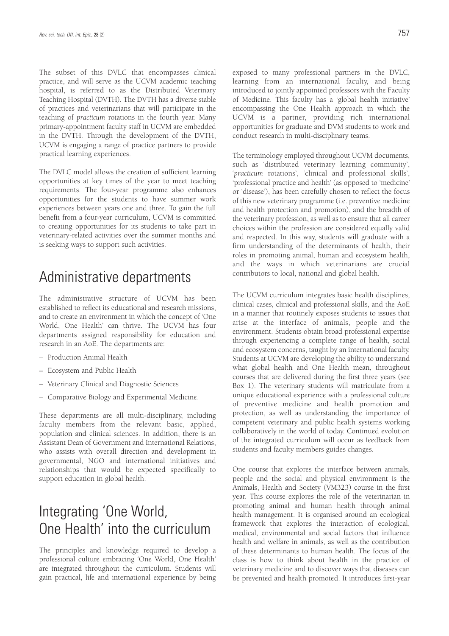The subset of this DVLC that encompasses clinical practice, and will serve as the UCVM academic teaching hospital, is referred to as the Distributed Veterinary Teaching Hospital (DVTH). The DVTH has a diverse stable of practices and veterinarians that will participate in the teaching of *practicum* rotations in the fourth year. Many primary-appointment faculty staff in UCVM are embedded in the DVTH. Through the development of the DVTH, UCVM is engaging a range of practice partners to provide practical learning experiences.

The DVLC model allows the creation of sufficient learning opportunities at key times of the year to meet teaching requirements. The four-year programme also enhances opportunities for the students to have summer work experiences between years one and three. To gain the full benefit from a four-year curriculum, UCVM is committed to creating opportunities for its students to take part in veterinary-related activities over the summer months and is seeking ways to support such activities.

## Administrative departments

The administrative structure of UCVM has been established to reflect its educational and research missions, and to create an environment in which the concept of 'One World, One Health' can thrive. The UCVM has four departments assigned responsibility for education and research in an AoE. The departments are:

- Production Animal Health
- Ecosystem and Public Health
- Veterinary Clinical and Diagnostic Sciences
- Comparative Biology and Experimental Medicine.

These departments are all multi-disciplinary, including faculty members from the relevant basic, applied, population and clinical sciences. In addition, there is an Assistant Dean of Government and International Relations, who assists with overall direction and development in governmental, NGO and international initiatives and relationships that would be expected specifically to support education in global health.

## Integrating 'One World, One Health' into the curriculum

The principles and knowledge required to develop a professional culture embracing 'One World, One Health' are integrated throughout the curriculum. Students will gain practical, life and international experience by being exposed to many professional partners in the DVLC, learning from an international faculty, and being introduced to jointly appointed professors with the Faculty of Medicine. This faculty has a 'global health initiative' encompassing the One Health approach in which the UCVM is a partner, providing rich international opportunities for graduate and DVM students to work and conduct research in multi-disciplinary teams.

The terminology employed throughout UCVM documents, such as 'distributed veterinary learning community', '*practicum* rotations', 'clinical and professional skills', 'professional practice and health' (as opposed to 'medicine' or 'disease'), has been carefully chosen to reflect the focus of this new veterinary programme (i.e. preventive medicine and health protection and promotion), and the breadth of the veterinary profession, as well as to ensure that all career choices within the profession are considered equally valid and respected. In this way, students will graduate with a firm understanding of the determinants of health, their roles in promoting animal, human and ecosystem health, and the ways in which veterinarians are crucial contributors to local, national and global health.

The UCVM curriculum integrates basic health disciplines, clinical cases, clinical and professional skills, and the AoE in a manner that routinely exposes students to issues that arise at the interface of animals, people and the environment. Students obtain broad professional expertise through experiencing a complete range of health, social and ecosystem concerns, taught by an international faculty. Students at UCVM are developing the ability to understand what global health and One Health mean, throughout courses that are delivered during the first three years (see Box 1). The veterinary students will matriculate from a unique educational experience with a professional culture of preventive medicine and health promotion and protection, as well as understanding the importance of competent veterinary and public health systems working collaboratively in the world of today. Continued evolution of the integrated curriculum will occur as feedback from students and faculty members guides changes.

One course that explores the interface between animals, people and the social and physical environment is the Animals, Health and Society (VM323) course in the first year. This course explores the role of the veterinarian in promoting animal and human health through animal health management. It is organised around an ecological framework that explores the interaction of ecological, medical, environmental and social factors that influence health and welfare in animals, as well as the contribution of these determinants to human health. The focus of the class is how to think about health in the practice of veterinary medicine and to discover ways that diseases can be prevented and health promoted. It introduces first-year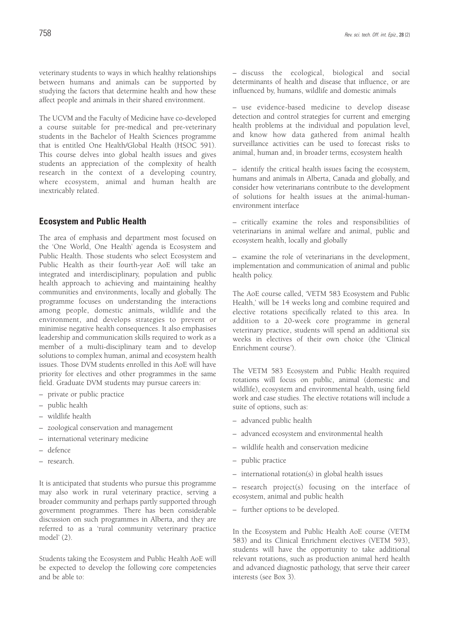veterinary students to ways in which healthy relationships between humans and animals can be supported by studying the factors that determine health and how these affect people and animals in their shared environment.

The UCVM and the Faculty of Medicine have co-developed a course suitable for pre-medical and pre-veterinary students in the Bachelor of Health Sciences programme that is entitled One Health/Global Health (HSOC 591). This course delves into global health issues and gives students an appreciation of the complexity of health research in the context of a developing country, where ecosystem, animal and human health are inextricably related.

### **Ecosystem and Public Health**

The area of emphasis and department most focused on the 'One World, One Health' agenda is Ecosystem and Public Health. Those students who select Ecosystem and Public Health as their fourth-year AoE will take an integrated and interdisciplinary, population and public health approach to achieving and maintaining healthy communities and environments, locally and globally. The programme focuses on understanding the interactions among people, domestic animals, wildlife and the environment, and develops strategies to prevent or minimise negative health consequences. It also emphasises leadership and communication skills required to work as a member of a multi-disciplinary team and to develop solutions to complex human, animal and ecosystem health issues. Those DVM students enrolled in this AoE will have priority for electives and other programmes in the same field. Graduate DVM students may pursue careers in:

- private or public practice
- public health
- wildlife health
- zoological conservation and management
- international veterinary medicine
- defence
- research.

It is anticipated that students who pursue this programme may also work in rural veterinary practice, serving a broader community and perhaps partly supported through government programmes. There has been considerable discussion on such programmes in Alberta, and they are referred to as a 'rural community veterinary practice model' (2).

Students taking the Ecosystem and Public Health AoE will be expected to develop the following core competencies and be able to:

– discuss the ecological, biological and social determinants of health and disease that influence, or are influenced by, humans, wildlife and domestic animals

– use evidence-based medicine to develop disease detection and control strategies for current and emerging health problems at the individual and population level, and know how data gathered from animal health surveillance activities can be used to forecast risks to animal, human and, in broader terms, ecosystem health

– identify the critical health issues facing the ecosystem, humans and animals in Alberta, Canada and globally, and consider how veterinarians contribute to the development of solutions for health issues at the animal-humanenvironment interface

– critically examine the roles and responsibilities of veterinarians in animal welfare and animal, public and ecosystem health, locally and globally

– examine the role of veterinarians in the development, implementation and communication of animal and public health policy.

The AoE course called, 'VETM 583 Ecosystem and Public Health,' will be 14 weeks long and combine required and elective rotations specifically related to this area. In addition to a 20-week core programme in general veterinary practice, students will spend an additional six weeks in electives of their own choice (the 'Clinical Enrichment course').

The VETM 583 Ecosystem and Public Health required rotations will focus on public, animal (domestic and wildlife), ecosystem and environmental health, using field work and case studies. The elective rotations will include a suite of options, such as:

- advanced public health
- advanced ecosystem and environmental health
- wildlife health and conservation medicine
- public practice
- international rotation(s) in global health issues

– research project(s) focusing on the interface of ecosystem, animal and public health

– further options to be developed.

In the Ecosystem and Public Health AoE course (VETM 583) and its Clinical Enrichment electives (VETM 593), students will have the opportunity to take additional relevant rotations, such as production animal herd health and advanced diagnostic pathology, that serve their career interests (see Box 3).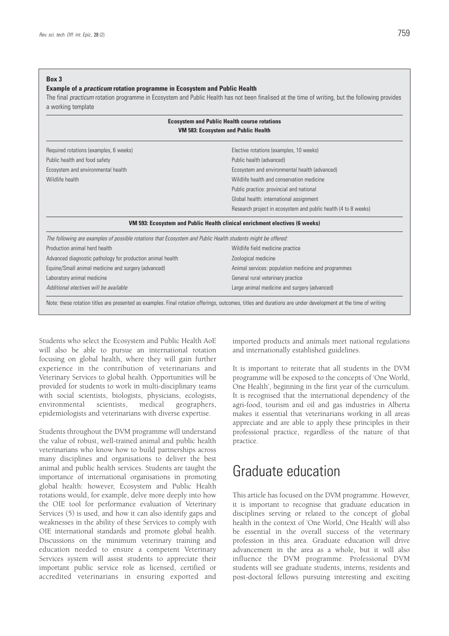### **Box 3**

### **Example of a** *practicum* **rotation programme in Ecosystem and Public Health**

The final *practicum* rotation programme in Ecosystem and Public Health has not been finalised at the time of writing, but the following provides a working template

| Required rotations (examples, 6 weeks)                                                                       | Elective rotations (examples, 10 weeks)                                     |
|--------------------------------------------------------------------------------------------------------------|-----------------------------------------------------------------------------|
| Public health and food safety                                                                                | Public health (advanced)                                                    |
| Ecosystem and environmental health                                                                           | Ecosystem and environmental health (advanced)                               |
| Wildlife health                                                                                              | Wildlife health and conservation medicine                                   |
|                                                                                                              | Public practice: provincial and national                                    |
|                                                                                                              | Global health: international assignment                                     |
|                                                                                                              | Research project in ecosystem and public health (4 to 8 weeks)              |
|                                                                                                              | VM 593: Ecosystem and Public Health clinical enrichment electives (6 weeks) |
| The following are examples of possible rotations that Ecosystem and Public Health students might be offered: |                                                                             |
| Production animal herd health                                                                                | Wildlife field medicine practice                                            |
| Advanced diagnostic pathology for production animal health                                                   | Zoological medicine                                                         |
| Equine/Small animal medicine and surgery (advanced)                                                          | Animal services: population medicine and programmes                         |
| Laboratory animal medicine                                                                                   | General rural veterinary practice                                           |
| Additional electives will be available                                                                       | Large animal medicine and surgery (advanced)                                |

Students who select the Ecosystem and Public Health AoE will also be able to pursue an international rotation focusing on global health, where they will gain further experience in the contribution of veterinarians and Veterinary Services to global health. Opportunities will be provided for students to work in multi-disciplinary teams with social scientists, biologists, physicians, ecologists, environmental scientists, medical geographers, epidemiologists and veterinarians with diverse expertise.

Students throughout the DVM programme will understand the value of robust, well-trained animal and public health veterinarians who know how to build partnerships across many disciplines and organisations to deliver the best animal and public health services. Students are taught the importance of international organisations in promoting global health: however, Ecosystem and Public Health rotations would, for example, delve more deeply into how the OIE tool for performance evaluation of Veterinary Services (5) is used, and how it can also identify gaps and weaknesses in the ability of these Services to comply with OIE international standards and promote global health. Discussions on the minimum veterinary training and education needed to ensure a competent Veterinary Services system will assist students to appreciate their important public service role as licensed, certified or accredited veterinarians in ensuring exported and

imported products and animals meet national regulations and internationally established guidelines.

It is important to reiterate that all students in the DVM programme will be exposed to the concepts of 'One World, One Health', beginning in the first year of the curriculum. It is recognised that the international dependency of the agri-food, tourism and oil and gas industries in Alberta makes it essential that veterinarians working in all areas appreciate and are able to apply these principles in their professional practice, regardless of the nature of that practice.

### Graduate education

This article has focused on the DVM programme. However, it is important to recognise that graduate education in disciplines serving or related to the concept of global health in the context of 'One World, One Health' will also be essential in the overall success of the veterinary profession in this area. Graduate education will drive advancement in the area as a whole, but it will also influence the DVM programme. Professional DVM students will see graduate students, interns, residents and post-doctoral fellows pursuing interesting and exciting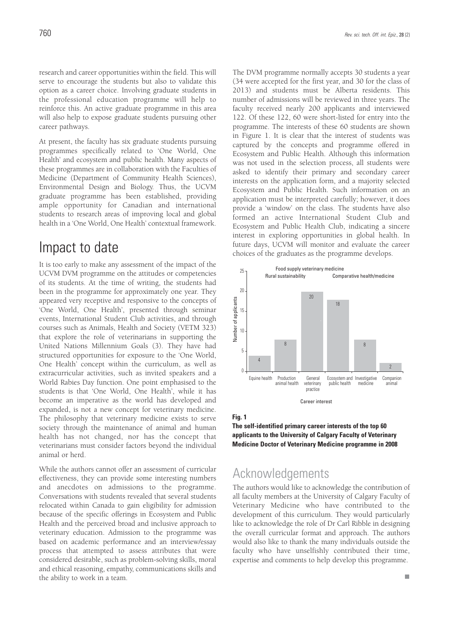research and career opportunities within the field. This will serve to encourage the students but also to validate this option as a career choice. Involving graduate students in the professional education programme will help to reinforce this. An active graduate programme in this area will also help to expose graduate students pursuing other career pathways.

At present, the faculty has six graduate students pursuing programmes specifically related to 'One World, One Health' and ecosystem and public health. Many aspects of these programmes are in collaboration with the Faculties of Medicine (Department of Community Health Sciences), Environmental Design and Biology. Thus, the UCVM graduate programme has been established, providing ample opportunity for Canadian and international students to research areas of improving local and global health in a 'One World, One Health' contextual framework.

### Impact to date

It is too early to make any assessment of the impact of the UCVM DVM programme on the attitudes or competencies of its students. At the time of writing, the students had been in the programme for approximately one year. They appeared very receptive and responsive to the concepts of 'One World, One Health', presented through seminar events, International Student Club activities, and through courses such as Animals, Health and Society (VETM 323) that explore the role of veterinarians in supporting the United Nations Millennium Goals (3). They have had structured opportunities for exposure to the 'One World, One Health' concept within the curriculum, as well as extracurricular activities, such as invited speakers and a World Rabies Day function. One point emphasised to the students is that 'One World, One Health', while it has become an imperative as the world has developed and expanded, is not a new concept for veterinary medicine. The philosophy that veterinary medicine exists to serve society through the maintenance of animal and human health has not changed, nor has the concept that veterinarians must consider factors beyond the individual animal or herd.

While the authors cannot offer an assessment of curricular effectiveness, they can provide some interesting numbers and anecdotes on admissions to the programme. Conversations with students revealed that several students relocated within Canada to gain eligibility for admission because of the specific offerings in Ecosystem and Public Health and the perceived broad and inclusive approach to veterinary education. Admission to the programme was based on academic performance and an interview/essay process that attempted to assess attributes that were considered desirable, such as problem-solving skills, moral and ethical reasoning, empathy, communications skills and the ability to work in a team.

The DVM programme normally accepts 30 students a year (34 were accepted for the first year, and 30 for the class of 2013) and students must be Alberta residents. This number of admissions will be reviewed in three years. The faculty received nearly 200 applicants and interviewed 122. Of these 122, 60 were short-listed for entry into the programme. The interests of these 60 students are shown in Figure 1. It is clear that the interest of students was captured by the concepts and programme offered in Ecosystem and Public Health. Although this information was not used in the selection process, all students were asked to identify their primary and secondary career interests on the application form, and a majority selected Ecosystem and Public Health. Such information on an application must be interpreted carefully; however, it does provide a 'window' on the class. The students have also formed an active International Student Club and Ecosystem and Public Health Club, indicating a sincere interest in exploring opportunities in global health. In future days, UCVM will monitor and evaluate the career choices of the graduates as the programme develops.



#### **Fig. 1**

**The self-identified primary career interests of the top 60 applicants to the University of Calgary Faculty of Veterinary Medicine Doctor of Veterinary Medicine programme in 2008**

### Acknowledgements

The authors would like to acknowledge the contribution of all faculty members at the University of Calgary Faculty of Veterinary Medicine who have contributed to the development of this curriculum. They would particularly like to acknowledge the role of Dr Carl Ribble in designing the overall curricular format and approach. The authors would also like to thank the many individuals outside the faculty who have unselfishly contributed their time, expertise and comments to help develop this programme.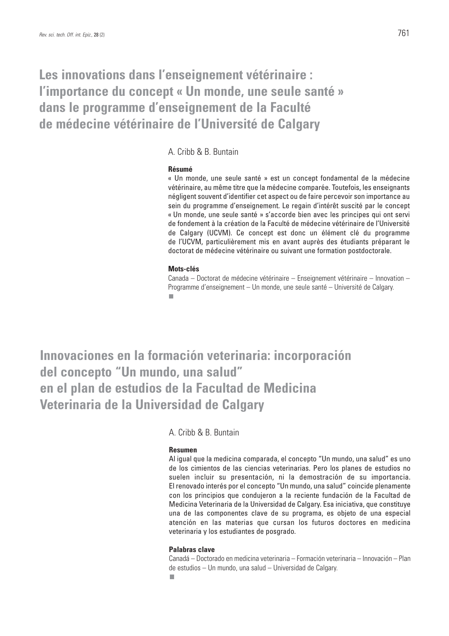## **Les innovations dans l'enseignement vétérinaire : l'importance du concept « Un monde, une seule santé » dans le programme d'enseignement de la Faculté de médecine vétérinaire de l'Université de Calgary**

A. Cribb & B. Buntain

### **Résumé**

« Un monde, une seule santé » est un concept fondamental de la médecine vétérinaire, au même titre que la médecine comparée. Toutefois, les enseignants négligent souvent d'identifier cet aspect ou de faire percevoir son importance au sein du programme d'enseignement. Le regain d'intérêt suscité par le concept « Un monde, une seule santé » s'accorde bien avec les principes qui ont servi de fondement à la création de la Faculté de médecine vétérinaire de l'Université de Calgary (UCVM). Ce concept est donc un élément clé du programme de l'UCVM, particulièrement mis en avant auprès des étudiants préparant le doctorat de médecine vétérinaire ou suivant une formation postdoctorale.

### **Mots-clés**

Canada – Doctorat de médecine vétérinaire – Enseignement vétérinaire – Innovation – Programme d'enseignement – Un monde, une seule santé – Université de Calgary.

**Innovaciones en la formación veterinaria: incorporación del concepto "Un mundo, una salud" en el plan de estudios de la Facultad de Medicina Veterinaria de la Universidad de Calgary**

A. Cribb & B. Buntain

### **Resumen**

Al igual que la medicina comparada, el concepto "Un mundo, una salud" es uno de los cimientos de las ciencias veterinarias. Pero los planes de estudios no suelen incluir su presentación, ni la demostración de su importancia. El renovado interés por el concepto "Un mundo, una salud" coincide plenamente con los principios que condujeron a la reciente fundación de la Facultad de Medicina Veterinaria de la Universidad de Calgary. Esa iniciativa, que constituye una de las componentes clave de su programa, es objeto de una especial atención en las materias que cursan los futuros doctores en medicina veterinaria y los estudiantes de posgrado.

### **Palabras clave**

Canadá – Doctorado en medicina veterinaria – Formación veterinaria – Innovación – Plan de estudios – Un mundo, una salud – Universidad de Calgary.п